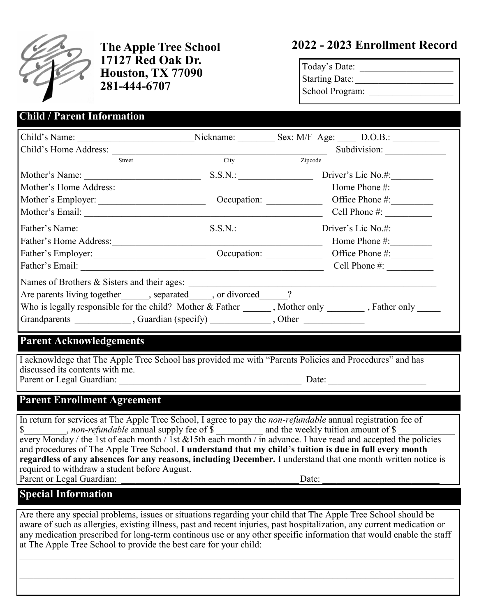

**17127 Red Oak Dr. Houston, TX 77090 281-444-6707**

# **The Apple Tree School 2022 - 2023 Enrollment Record**

| Today's Date:          |  |
|------------------------|--|
| <b>Starting Date:</b>  |  |
| <b>School Program:</b> |  |

### Child's Name: <br>
Nickname: Sex: M/F Age: D.O.B.: Child's Home Address: \_\_\_\_\_\_\_\_\_\_\_\_\_\_\_\_\_\_\_\_\_\_\_\_\_\_\_\_\_\_\_\_\_\_\_\_\_\_\_\_\_\_\_\_\_\_ Subdivision: \_\_\_\_\_\_\_\_\_\_\_\_\_ Street City City Zipcode Mother's Name: S.S.N.: Driver's Lic No.#: Mother's Home Address: \_\_\_\_\_\_\_\_\_\_\_\_\_\_\_\_\_\_\_\_\_\_\_\_\_\_\_\_\_\_\_\_\_\_\_\_\_\_\_\_\_\_\_\_ Home Phone #:\_\_\_\_\_\_\_\_\_\_ Mother's Employer: \_\_\_\_\_\_\_\_\_\_\_\_\_\_\_\_\_\_\_\_\_\_\_ Occupation: \_\_\_\_\_\_\_\_\_\_\_\_ Office Phone #:\_\_\_\_\_\_\_\_\_ Mother's Email: \_\_\_\_\_\_\_\_\_\_\_\_\_\_\_\_\_\_\_\_\_\_\_\_\_\_\_\_\_\_\_\_\_\_\_\_\_\_\_\_\_\_\_\_\_\_\_\_\_\_\_ Cell Phone #: \_\_\_\_\_\_\_\_\_\_ Father's Name:\_\_\_\_\_\_\_\_\_\_\_\_\_\_\_\_\_\_\_\_\_\_\_\_\_\_ S.S.N.: \_\_\_\_\_\_\_\_\_\_\_\_\_\_\_\_ Driver's Lic No.#:\_\_\_\_\_\_\_\_\_ Father's Home Address:\_\_\_\_\_\_\_\_\_\_\_\_\_\_\_\_\_\_\_\_\_\_\_\_\_\_\_\_\_\_\_\_\_\_\_\_\_\_\_\_\_\_\_\_\_ Home Phone #:\_\_\_\_\_\_\_\_\_ Father's Employer: Cocupation: Cocupation: Cocupation: Contract Phone #: Father's Email: \_\_\_\_\_\_\_\_\_\_\_\_\_\_\_\_\_\_\_\_\_\_\_\_\_\_\_\_\_\_\_\_\_\_\_\_\_\_\_\_\_\_\_\_\_\_\_\_\_\_\_\_ Cell Phone #: \_\_\_\_\_\_\_\_\_\_ Names of Brothers & Sisters and their ages: Are parents living together  $\qquad$ , separated, or divorced  $\qquad$ ? Who is legally responsible for the child? Mother & Father \_\_\_\_\_\_, Mother only \_\_\_\_\_\_\_, Father only \_\_\_\_\_ Grandparents \_\_\_\_\_\_\_\_\_\_\_\_\_\_, Guardian (specify) \_\_\_\_\_\_\_\_\_\_\_\_\_\_, Other \_\_\_\_\_\_\_\_\_\_\_ **Child / Parent Information**

#### **Parent Acknowledgements**

I acknowldege that The Apple Tree School has provided me with "Parents Policies and Procedures" and has discussed its contents with me. Parent or Legal Guardian: \_\_\_\_\_\_\_\_\_\_\_\_\_\_\_\_\_\_\_\_\_\_\_\_\_\_\_\_\_\_\_\_\_\_\_\_\_\_\_ Date: \_\_\_\_\_\_\_\_\_\_\_\_\_\_\_\_\_\_\_\_\_

#### **Parent Enrollment Agreement**

In return for services at The Apple Tree School, I agree to pay the *non-refundable* annual registration fee of \$ yet now *non-refundable* annual supply fee of \$ \_\_\_\_\_\_\_\_\_\_ and the weekly tuition amount of \$ every Monday / the 1st of each month / 1st &15th each month / in advance. I have read and accepted the policies and procedures of The Apple Tree School. **I understand that my child's tuition is due in full every month regardless of any absences for any reasons, including December.** I understand that one month written notice is required to withdraw a student before August.<br>Parent or Legal Guardian: Date:

### **Special Information**

Are there any special problems, issues or situations regarding your child that The Apple Tree School should be aware of such as allergies, existing illness, past and recent injuries, past hospitalization, any current medication or any medication prescribed for long-term continous use or any other specific information that would enable the staff at The Apple Tree School to provide the best care for your child:

 $\_$  , and the contribution of the contribution of the contribution of the contribution of the contribution of  $\mathcal{L}_\text{max}$